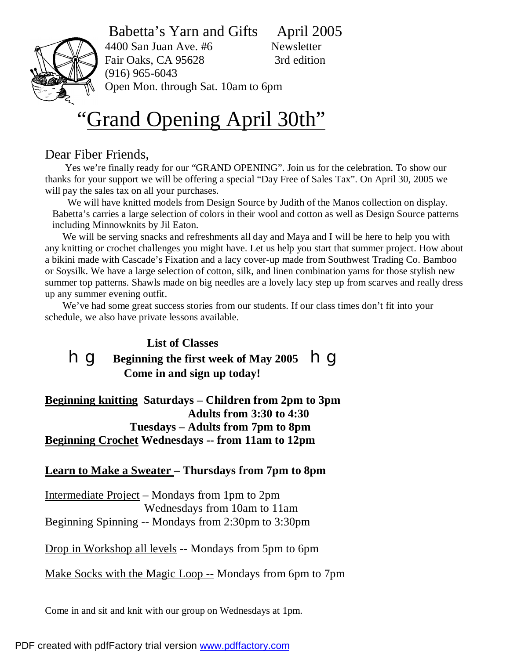### Babetta's Yarn and Gifts April 2005



4400 San Juan Ave. #6 Newsletter Fair Oaks, CA 95628 3rd edition (916) 965-6043 Open Mon. through Sat. 10am to 6pm

# "Grand Opening April 30th"

#### Dear Fiber Friends,

 Yes we're finally ready for our "GRAND OPENING". Join us for the celebration. To show our thanks for your support we will be offering a special "Day Free of Sales Tax". On April 30, 2005 we will pay the sales tax on all your purchases.

 We will have knitted models from Design Source by Judith of the Manos collection on display. Babetta's carries a large selection of colors in their wool and cotton as well as Design Source patterns including Minnowknits by Jil Eaton.

We will be serving snacks and refreshments all day and Maya and I will be here to help you with any knitting or crochet challenges you might have. Let us help you start that summer project. How about a bikini made with Cascade's Fixation and a lacy cover-up made from Southwest Trading Co. Bamboo or Soysilk. We have a large selection of cotton, silk, and linen combination yarns for those stylish new summer top patterns. Shawls made on big needles are a lovely lacy step up from scarves and really dress up any summer evening outfit.

We've had some great success stories from our students. If our class times don't fit into your schedule, we also have private lessons available.

## **List of Classes hg** Beginning the first week of May 2005 hg  **Come in and sign up today!**

**Beginning knitting Saturdays – Children from 2pm to 3pm Adults from 3:30 to 4:30 Tuesdays – Adults from 7pm to 8pm Beginning Crochet Wednesdays -- from 11am to 12pm** 

#### **Learn to Make a Sweater – Thursdays from 7pm to 8pm**

Intermediate Project – Mondays from 1pm to 2pm Wednesdays from 10am to 11am Beginning Spinning -- Mondays from 2:30pm to 3:30pm

Drop in Workshop all levels -- Mondays from 5pm to 6pm

Make Socks with the Magic Loop -- Mondays from 6pm to 7pm

Come in and sit and knit with our group on Wednesdays at 1pm.